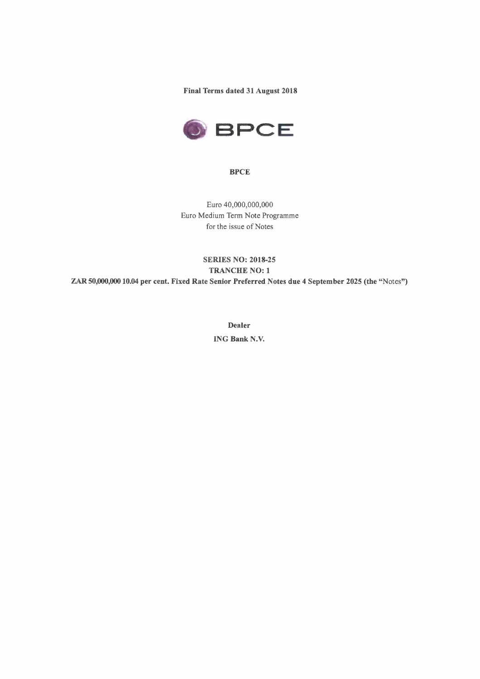**Final Terms dated 31 August 2018** 



**BPCE** 

Euro 40,000,000,000 Euro Medium Term Note Programme for the issue of Notes

# **SERIES NO: 2018-25 TRANCHE NO: 1 ZAR50,000,00010.04 per cent. Fixed Rate Senior Preferred Notes due 4 September 2025 (the** "Notes")

**Dealer ING Bank N.V.**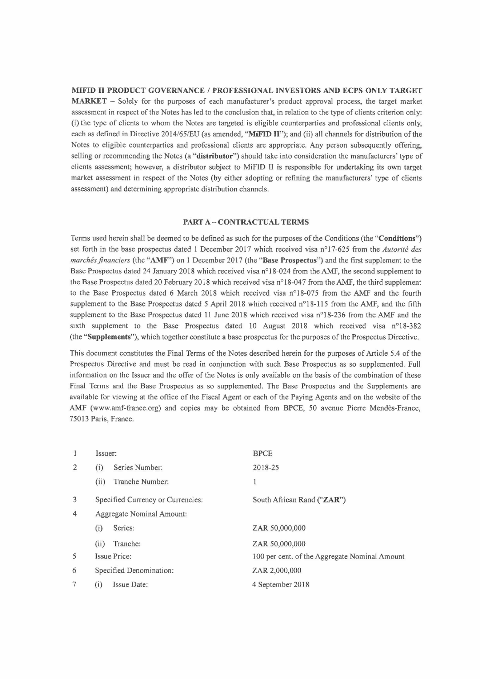## **MIFID II PRODUCT GOVERNANCE / PROFESSIONAL INVESTORS AND ECPS ONLY TARGET**

**MARKET -** Solely for the purposes of each manufacturer's product approval process, the target market assessment in respect of the Notes has led to the conclusion that, in relation to the type of clients criterion only: (i) the type of clients to whom the Notes are targeted is eligible counterparties and professional clients only, each as defined in Directive 2014/65/EU (as amended, **"MiFID II");** and (ii) all channels for distribution of the Notes to eligible counterparties and professional clients are appropriate. Any person subsequently offering, selling or recommending the Notes (a **"distributor")** should take into consideration the manufacturers' type of clients assessment; however, a distributor subject to MiFID II is responsible for undertaking its own target market assessment in respect of the Notes (by either adopting or refining the manufacturers' type of clients assessment) and determining appropriate distribution channels.

### **PART A- CONTRACTUAL TERMS**

Terms used herein shall be deemed to be defined as such for the purposes of the Conditions (the **"Conditions")**  set forth in the base prospectus dated 1 December 2017 which received visa n°17-625 from the *Autorité des marchés financiers* (the **"AMF")** on 1 December 2017 (the **"Base Prospectus")** and the first supplement to the Base Prospectus dated 24 January 2018 which received visa n° 18-024 from the AMF, the second supplement to the Base Prospectus dated 20 February 2018 which received visa n°18-047 from the AMF, the third supplement to the Base Prospectus dated 6 March 2018 which received visa n°18-075 from the AMF and the fourth supplement to the Base Prospectus dated 5 April 2018 which received n°18-115 from the AMF, and the fifth supplement to the Base Prospectus dated 11 June 2018 which received visa n°18-236 from the AMF and the sixth supplement to the Base Prospectus dated 10 August 2018 which received visa n°18-382 (the **"Supplements"),** which together constitute a base prospectus for the purposes of the Prospectus Directive.

This document constitutes the Final Terms of the Notes described herein for the purposes of Article 5.4 of the Prospectus Directive and must be read in conjunction with such Base Prospectus as so supplemented. Full information on the Issuer and the offer of the Notes is only available on the basis of the combination of these Final Terms and the Base Prospectus as so supplemented. The Base Prospectus and the Supplements are available for viewing at the office of the Fiscal Agent or each of the Paying Agents and on the website of the AMF (www.amf-france.org) and copies may be obtained from BPCE, 50 avenue Pierre Mendès-France, 75013 Paris, France.

| 1              | Issuer:                         |                                   | <b>BPCE</b>                                   |
|----------------|---------------------------------|-----------------------------------|-----------------------------------------------|
| 2              | Series Number:<br>(i)           |                                   | 2018-25                                       |
|                | (ii)                            | Tranche Number:                   | 1                                             |
| 3              |                                 | Specified Currency or Currencies: | South African Rand ("ZAR")                    |
| $\overline{4}$ |                                 | Aggregate Nominal Amount:         |                                               |
|                | (i)                             | Series:                           | ZAR 50,000,000                                |
|                | (ii)                            | Tranche:                          | ZAR 50,000,000                                |
| 5              | Issue Price:                    |                                   | 100 per cent. of the Aggregate Nominal Amount |
| 6              | Specified Denomination:         |                                   | ZAR 2,000,000                                 |
| 7              | Issue Date:<br>$\left(1\right)$ |                                   | 4 September 2018                              |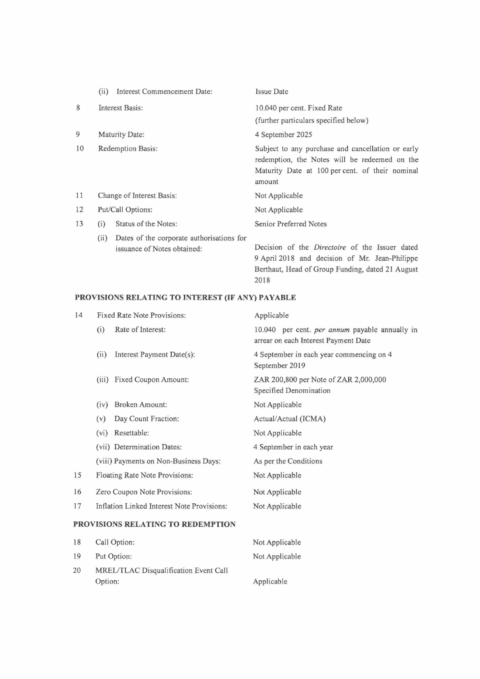|    | Interest Commencement Date:<br>(ii)                                              | <b>Issue Date</b>                                                                                                                                                   |
|----|----------------------------------------------------------------------------------|---------------------------------------------------------------------------------------------------------------------------------------------------------------------|
| 8  | Interest Basis:                                                                  | 10.040 per cent. Fixed Rate                                                                                                                                         |
|    |                                                                                  | (further particulars specified below)                                                                                                                               |
| 9  | Maturity Date:                                                                   | 4 September 2025                                                                                                                                                    |
| 10 | Redemption Basis:                                                                | Subject to any purchase and cancellation or early<br>redemption, the Notes will be redeemed on the<br>Maturity Date at 100 per cent. of their nominal<br>amount     |
| 11 | Change of Interest Basis:                                                        | Not Applicable                                                                                                                                                      |
| 12 | Put/Call Options:                                                                | Not Applicable                                                                                                                                                      |
| 13 | Status of the Notes:<br>(i)                                                      | Senior Preferred Notes                                                                                                                                              |
|    | Dates of the corporate authorisations for<br>(ii)<br>issuance of Notes obtained: | Decision of the <i>Directoire</i> of the Issuer dated<br>9 April 2018 and decision of Mr. Jean-Philippe<br>Berthaut, Head of Group Funding, dated 21 August<br>2018 |

# **PROVISIONS RELATING TO INTEREST (IF ANY) PAYABLE**

| 14                                | Fixed Rate Note Provisions:                                                                                                      | Applicable                                                                             |  |
|-----------------------------------|----------------------------------------------------------------------------------------------------------------------------------|----------------------------------------------------------------------------------------|--|
|                                   | Rate of Interest:<br>(i)                                                                                                         | 10.040 per cent. per annum payable annually in<br>arrear on each Interest Payment Date |  |
|                                   | Interest Payment Date(s):<br>(ii)                                                                                                | 4 September in each year commencing on 4<br>September 2019                             |  |
|                                   | Fixed Coupon Amount:<br>(iii)                                                                                                    | ZAR 200,800 per Note of ZAR 2,000,000<br>Specified Denomination                        |  |
|                                   | <b>Broken Amount:</b><br>(iv)                                                                                                    | Not Applicable                                                                         |  |
|                                   | Day Count Fraction:<br>(v)                                                                                                       | Actual/Actual (ICMA)                                                                   |  |
|                                   | Resettable:<br>(vi)                                                                                                              | Not Applicable                                                                         |  |
|                                   | (vii) Determination Dates:                                                                                                       | 4 September in each year                                                               |  |
|                                   | (viii) Payments on Non-Business Days:                                                                                            | As per the Conditions                                                                  |  |
| 15                                | Floating Rate Note Provisions:                                                                                                   | Not Applicable                                                                         |  |
| 16                                | Zero Coupon Note Provisions:                                                                                                     | Not Applicable                                                                         |  |
| 17                                | Inflation Linked Interest Note Provisions:                                                                                       | Not Applicable                                                                         |  |
| PROVISIONS RELATING TO REDEMPTION |                                                                                                                                  |                                                                                        |  |
| 18                                | Call Option:                                                                                                                     | Not Applicable                                                                         |  |
| 19                                | Put Option:                                                                                                                      | Not Applicable                                                                         |  |
| $\sim$ $\sim$                     | <b>SALES TO THE STATE AND PROPERTY OF STATE OF STATE OF STATE OF STATE OF STATE OF STATE OF STATE OF STATE OF STATE</b><br>$+ -$ |                                                                                        |  |

Applicable

20 MREL/TLAC Disqualification Event Call Option: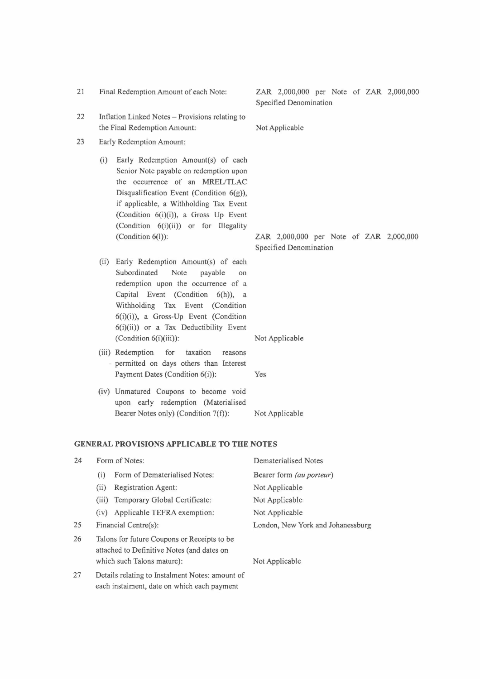| 23 |                                                   | Early Redemption Amount:                                                                                                                                                                                                                                                                                        |                                                                   |  |  |  |
|----|---------------------------------------------------|-----------------------------------------------------------------------------------------------------------------------------------------------------------------------------------------------------------------------------------------------------------------------------------------------------------------|-------------------------------------------------------------------|--|--|--|
|    | (i)                                               | Early Redemption Amount(s) of each<br>Senior Note payable on redemption upon<br>the occurrence of an MREL/TLAC<br>Disqualification Event (Condition 6(g)),<br>if applicable, a Withholding Tax Event<br>(Condition 6(i)(i)), a Gross Up Event<br>(Condition 6(i)(ii)) or for Illegality<br>(Condition $6(l)$ ): | ZAR 2,000,000 per Note of ZAR 2,000,000<br>Specified Denomination |  |  |  |
|    | (ii)                                              | Early Redemption Amount(s) of each<br>Subordinated<br>Note<br>payable<br>on<br>redemption upon the occurrence of a<br>Capital Event (Condition 6(h)), a<br>Withholding Tax Event (Condition<br>6(i)(i)), a Gross-Up Event (Condition<br>$6(i)(ii)$ or a Tax Deductibility Event<br>$(Condition 6(i)(iii))$ :    | Not Applicable                                                    |  |  |  |
|    |                                                   | (iii) Redemption<br>for<br>taxation<br>reasons<br>permitted on days others than Interest<br>Payment Dates (Condition 6(i)):                                                                                                                                                                                     | Yes                                                               |  |  |  |
|    |                                                   | (iv) Unmatured Coupons to become void<br>upon early redemption (Materialised<br>Bearer Notes only) (Condition 7(f)):                                                                                                                                                                                            | Not Applicable                                                    |  |  |  |
|    | <b>GENERAL PROVISIONS APPLICABLE TO THE NOTES</b> |                                                                                                                                                                                                                                                                                                                 |                                                                   |  |  |  |
| 24 |                                                   | Form of Notes:                                                                                                                                                                                                                                                                                                  | <b>Dematerialised Notes</b>                                       |  |  |  |
|    | (i)                                               | Form of Dematerialised Notes:                                                                                                                                                                                                                                                                                   | Bearer form (au porteur)                                          |  |  |  |
|    |                                                   |                                                                                                                                                                                                                                                                                                                 |                                                                   |  |  |  |

21 Final Redemption Amount of each Note: ZAR 2,000,000 per Note of ZAR 2,000,000

22 Inflation Linked Notes - Provisions relating to

the Final Redemption Amount: Not Applicable

Specified Denomination

- (ii) Registration Agent: (iii) Temporary Global Certificate: (iv) Applicable TEFRA exemption: Financial Centre(s): Not Applicable Not Applicable Not Applicable 25 Financial Centre(s): London, New York and Johanessburg 26 Talons for future Coupons or Receipts to be
- attached to Definitive Notes (and dates on which such Talons mature): Not Applicable
- 27 Details relating to Instalment Notes: amount of each instalment, date on which each payment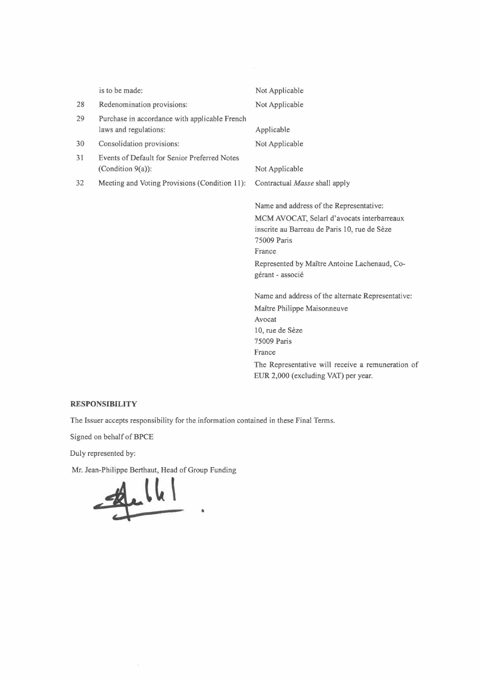|    | is to be made:                                                         | Not Applicable                                                                                                                                                                                                                     |
|----|------------------------------------------------------------------------|------------------------------------------------------------------------------------------------------------------------------------------------------------------------------------------------------------------------------------|
| 28 | Redenomination provisions:                                             | Not Applicable                                                                                                                                                                                                                     |
| 29 | Purchase in accordance with applicable French<br>laws and regulations: | Applicable                                                                                                                                                                                                                         |
| 30 | Consolidation provisions:                                              | Not Applicable                                                                                                                                                                                                                     |
| 31 | Events of Default for Senior Preferred Notes<br>(Condition $9(a)$ ):   | Not Applicable                                                                                                                                                                                                                     |
| 32 | Meeting and Voting Provisions (Condition 11):                          | Contractual Masse shall apply                                                                                                                                                                                                      |
|    |                                                                        | Name and address of the Representative:<br>MCM AVOCAT, Selarl d'avocats interbarreaux<br>inscrite au Barreau de Paris 10, rue de Sèze<br>75009 Paris<br>France<br>Represented by Maître Antoine Lachenaud, Co-<br>gérant - associé |
|    |                                                                        | Name and address of the alternate Representative:<br>Maître Philippe Maisonneuve<br>Avocat<br>10, rue de Sèze<br>75009 Paris<br>France<br>The Representative will receive a remuneration of<br>EUR 2,000 (excluding VAT) per year. |

### **RESPONSIBILITY**

The Issuer accepts responsibility for the information contained in these Final Terms.

•

Signed on behalf of BPCE

Duly represented by:

Mr. Jean-Philippe Berthaut, Head of Group Funding

**.. ~.J~ \**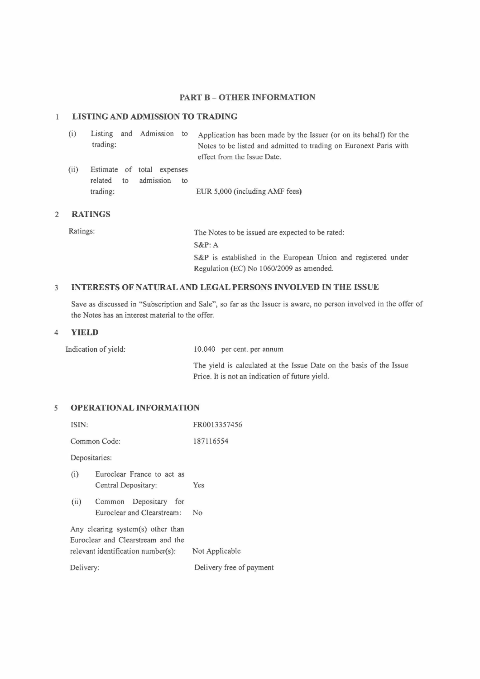### **PART B - OTHER INFORMATION**

#### **LISTING AND ADMISSION TO TRADING**   $\mathbf{1}$

| (i)  | trading:               | Listing and Admission to                |    | Application has been made by the Issuer (or on its behalf) for the<br>Notes to be listed and admitted to trading on Euronext Paris with<br>effect from the Issue Date. |
|------|------------------------|-----------------------------------------|----|------------------------------------------------------------------------------------------------------------------------------------------------------------------------|
| (ii) | related to<br>trading: | Estimate of total expenses<br>admission | to | EUR 5,000 (including AMF fees)                                                                                                                                         |

### 2 **RATINGS**

Ratings: The Notes to be issued are expected to be rated: **S&P:A S&P** is established in the European Union and registered under Regulation (EC) No I 060/2009 as amended.

### <sup>3</sup>**INTERESTS OF NATURAL AND LEGAL PERSONS INVOLVED IN THE ISSUE**

Save as discussed in "Subscription and Sale", so far as the Issuer is aware, no person involved in the offer of the Notes has an interest material to the offer.

### 4 **YIELD**

Indication of yield:  $10.040$  per cent. per annum

The yield is calculated at the Issue Date on the basis of the Issue Price. It is not an indication of future yield.

### *<sup>5</sup>***OPERATIONAL INFORMATION**

| ISIN:                                                                                                                                |                                                     | FR0013357456             |  |
|--------------------------------------------------------------------------------------------------------------------------------------|-----------------------------------------------------|--------------------------|--|
|                                                                                                                                      | Common Code:                                        | 187116554                |  |
| Depositaries:                                                                                                                        |                                                     |                          |  |
| (i)                                                                                                                                  | Euroclear France to act as<br>Central Depositary:   | Yes                      |  |
| (ii)                                                                                                                                 | Common Depositary for<br>Euroclear and Clearstream: | No                       |  |
| Any clearing system(s) other than<br>Euroclear and Clearstream and the<br>$relevant$ identification number $(s)$ :<br>Not Applicable |                                                     |                          |  |
| Delivery:                                                                                                                            |                                                     | Delivery free of payment |  |
|                                                                                                                                      |                                                     |                          |  |